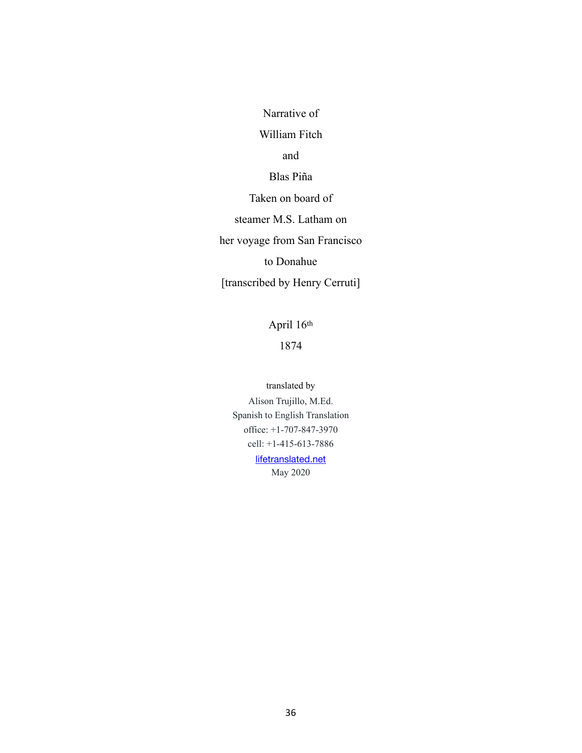Narrative of

### William Fitch

and

Blas Piña

Taken on board of

steamer M.S. Latham on

her voyage from San Francisco

to Donahue

[transcribed by Henry Cerruti]

April 16th

1874

translated by

Alison Trujillo, M.Ed. Spanish to English Translation office: +1-707-847-3970 cell: +1-415-613-7886

> [lifetranslated.net](http://lifetranslated.net) May 2020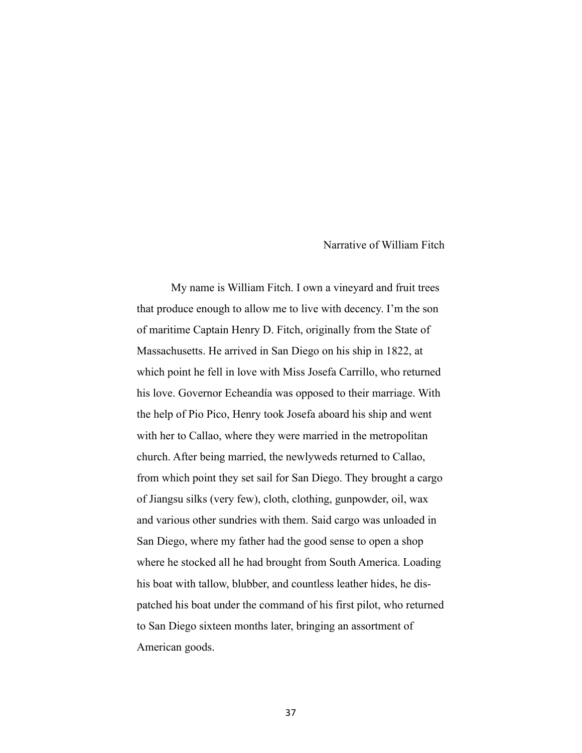Narrative of William Fitch

 My name is William Fitch. I own a vineyard and fruit trees that produce enough to allow me to live with decency. I'm the son of maritime Captain Henry D. Fitch, originally from the State of Massachusetts. He arrived in San Diego on his ship in 1822, at which point he fell in love with Miss Josefa Carrillo, who returned his love. Governor Echeandía was opposed to their marriage. With the help of Pio Pico, Henry took Josefa aboard his ship and went with her to Callao, where they were married in the metropolitan church. After being married, the newlyweds returned to Callao, from which point they set sail for San Diego. They brought a cargo of Jiangsu silks (very few), cloth, clothing, gunpowder, oil, wax and various other sundries with them. Said cargo was unloaded in San Diego, where my father had the good sense to open a shop where he stocked all he had brought from South America. Loading his boat with tallow, blubber, and countless leather hides, he dispatched his boat under the command of his first pilot, who returned to San Diego sixteen months later, bringing an assortment of American goods.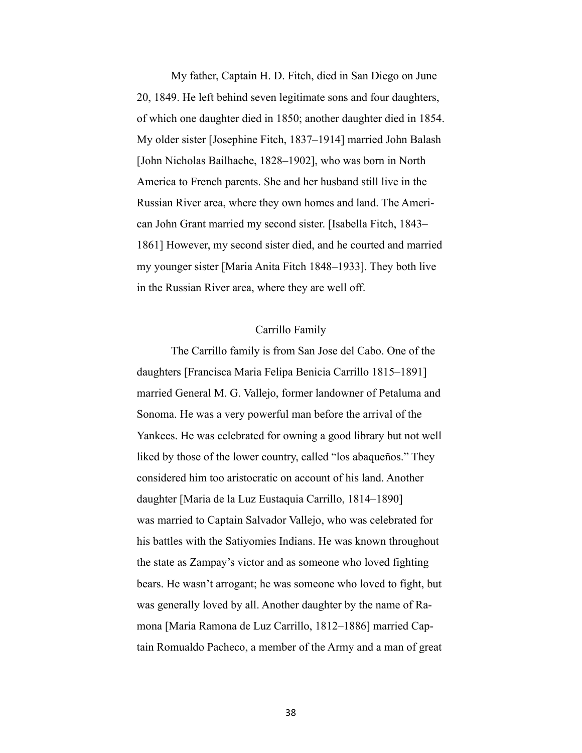My father, Captain H. D. Fitch, died in San Diego on June 20, 1849. He left behind seven legitimate sons and four daughters, of which one daughter died in 1850; another daughter died in 1854. My older sister [Josephine Fitch, 1837–1914] married John Balash [John Nicholas Bailhache, 1828–1902], who was born in North America to French parents. She and her husband still live in the Russian River area, where they own homes and land. The American John Grant married my second sister. [Isabella Fitch, 1843– 1861] However, my second sister died, and he courted and married my younger sister [Maria Anita Fitch 1848–1933]. They both live in the Russian River area, where they are well off.

# Carrillo Family

 The Carrillo family is from San Jose del Cabo. One of the daughters [Francisca Maria Felipa Benicia Carrillo 1815–1891] married General M. G. Vallejo, former landowner of Petaluma and Sonoma. He was a very powerful man before the arrival of the Yankees. He was celebrated for owning a good library but not well liked by those of the lower country, called "los abaqueños." They considered him too aristocratic on account of his land. Another daughter [Maria de la Luz Eustaquia Carrillo, 1814–1890] was married to Captain Salvador Vallejo, who was celebrated for his battles with the Satiyomies Indians. He was known throughout the state as Zampay's victor and as someone who loved fighting bears. He wasn't arrogant; he was someone who loved to fight, but was generally loved by all. Another daughter by the name of Ramona [Maria Ramona de Luz Carrillo, 1812–1886] married Captain Romualdo Pacheco, a member of the Army and a man of great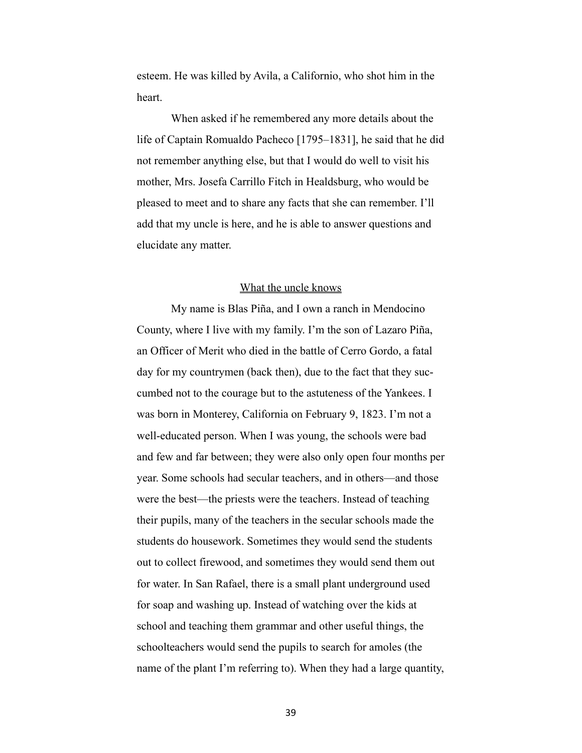esteem. He was killed by Avila, a Californio, who shot him in the heart.

 When asked if he remembered any more details about the life of Captain Romualdo Pacheco [1795–1831], he said that he did not remember anything else, but that I would do well to visit his mother, Mrs. Josefa Carrillo Fitch in Healdsburg, who would be pleased to meet and to share any facts that she can remember. I'll add that my uncle is here, and he is able to answer questions and elucidate any matter.

# What the uncle knows

 My name is Blas Piña, and I own a ranch in Mendocino County, where I live with my family. I'm the son of Lazaro Piña, an Officer of Merit who died in the battle of Cerro Gordo, a fatal day for my countrymen (back then), due to the fact that they succumbed not to the courage but to the astuteness of the Yankees. I was born in Monterey, California on February 9, 1823. I'm not a well-educated person. When I was young, the schools were bad and few and far between; they were also only open four months per year. Some schools had secular teachers, and in others—and those were the best—the priests were the teachers. Instead of teaching their pupils, many of the teachers in the secular schools made the students do housework. Sometimes they would send the students out to collect firewood, and sometimes they would send them out for water. In San Rafael, there is a small plant underground used for soap and washing up. Instead of watching over the kids at school and teaching them grammar and other useful things, the schoolteachers would send the pupils to search for amoles (the name of the plant I'm referring to). When they had a large quantity,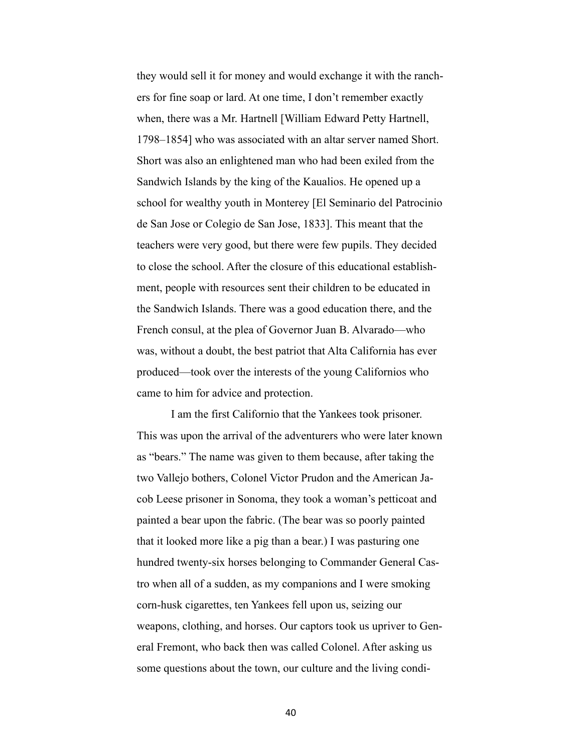they would sell it for money and would exchange it with the ranchers for fine soap or lard. At one time, I don't remember exactly when, there was a Mr. Hartnell [William Edward Petty Hartnell, 1798–1854] who was associated with an altar server named Short. Short was also an enlightened man who had been exiled from the Sandwich Islands by the king of the Kaualios. He opened up a school for wealthy youth in Monterey [El Seminario del Patrocinio de San Jose or Colegio de San Jose, 1833]. This meant that the teachers were very good, but there were few pupils. They decided to close the school. After the closure of this educational establishment, people with resources sent their children to be educated in the Sandwich Islands. There was a good education there, and the French consul, at the plea of Governor Juan B. Alvarado—who was, without a doubt, the best patriot that Alta California has ever produced—took over the interests of the young Californios who came to him for advice and protection.

 I am the first Californio that the Yankees took prisoner. This was upon the arrival of the adventurers who were later known as "bears." The name was given to them because, after taking the two Vallejo bothers, Colonel Victor Prudon and the American Jacob Leese prisoner in Sonoma, they took a woman's petticoat and painted a bear upon the fabric. (The bear was so poorly painted that it looked more like a pig than a bear.) I was pasturing one hundred twenty-six horses belonging to Commander General Castro when all of a sudden, as my companions and I were smoking corn-husk cigarettes, ten Yankees fell upon us, seizing our weapons, clothing, and horses. Our captors took us upriver to General Fremont, who back then was called Colonel. After asking us some questions about the town, our culture and the living condi-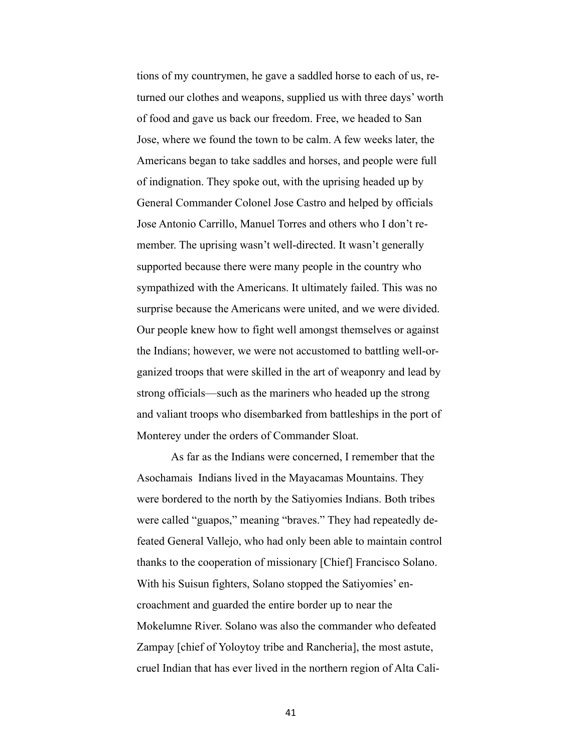tions of my countrymen, he gave a saddled horse to each of us, returned our clothes and weapons, supplied us with three days' worth of food and gave us back our freedom. Free, we headed to San Jose, where we found the town to be calm. A few weeks later, the Americans began to take saddles and horses, and people were full of indignation. They spoke out, with the uprising headed up by General Commander Colonel Jose Castro and helped by officials Jose Antonio Carrillo, Manuel Torres and others who I don't remember. The uprising wasn't well-directed. It wasn't generally supported because there were many people in the country who sympathized with the Americans. It ultimately failed. This was no surprise because the Americans were united, and we were divided. Our people knew how to fight well amongst themselves or against the Indians; however, we were not accustomed to battling well-organized troops that were skilled in the art of weaponry and lead by strong officials—such as the mariners who headed up the strong and valiant troops who disembarked from battleships in the port of Monterey under the orders of Commander Sloat.

 As far as the Indians were concerned, I remember that the Asochamais Indians lived in the Mayacamas Mountains. They were bordered to the north by the Satiyomies Indians. Both tribes were called "guapos," meaning "braves." They had repeatedly defeated General Vallejo, who had only been able to maintain control thanks to the cooperation of missionary [Chief] Francisco Solano. With his Suisun fighters, Solano stopped the Satiyomies' encroachment and guarded the entire border up to near the Mokelumne River. Solano was also the commander who defeated Zampay [chief of Yoloytoy tribe and Rancheria], the most astute, cruel Indian that has ever lived in the northern region of Alta Cali-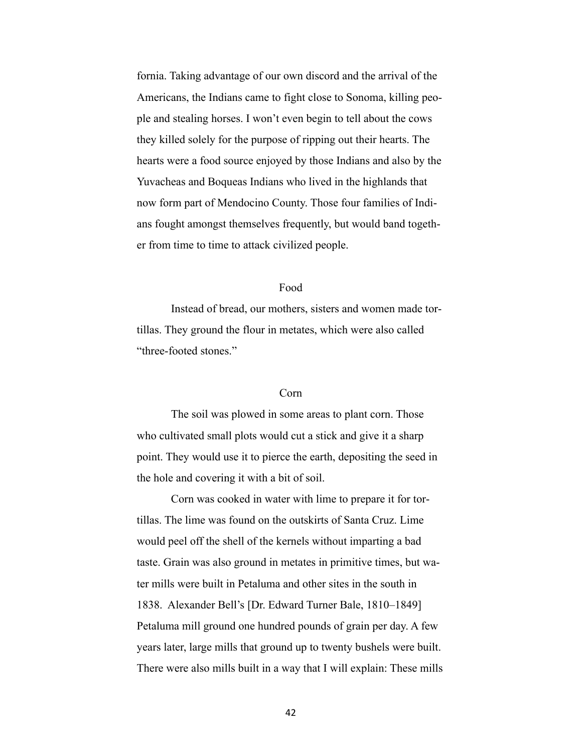fornia. Taking advantage of our own discord and the arrival of the Americans, the Indians came to fight close to Sonoma, killing people and stealing horses. I won't even begin to tell about the cows they killed solely for the purpose of ripping out their hearts. The hearts were a food source enjoyed by those Indians and also by the Yuvacheas and Boqueas Indians who lived in the highlands that now form part of Mendocino County. Those four families of Indians fought amongst themselves frequently, but would band together from time to time to attack civilized people.

# Food

 Instead of bread, our mothers, sisters and women made tortillas. They ground the flour in metates, which were also called "three-footed stones."

#### Corn

 The soil was plowed in some areas to plant corn. Those who cultivated small plots would cut a stick and give it a sharp point. They would use it to pierce the earth, depositing the seed in the hole and covering it with a bit of soil.

 Corn was cooked in water with lime to prepare it for tortillas. The lime was found on the outskirts of Santa Cruz. Lime would peel off the shell of the kernels without imparting a bad taste. Grain was also ground in metates in primitive times, but water mills were built in Petaluma and other sites in the south in 1838. Alexander Bell's [Dr. Edward Turner Bale, 1810–1849] Petaluma mill ground one hundred pounds of grain per day. A few years later, large mills that ground up to twenty bushels were built. There were also mills built in a way that I will explain: These mills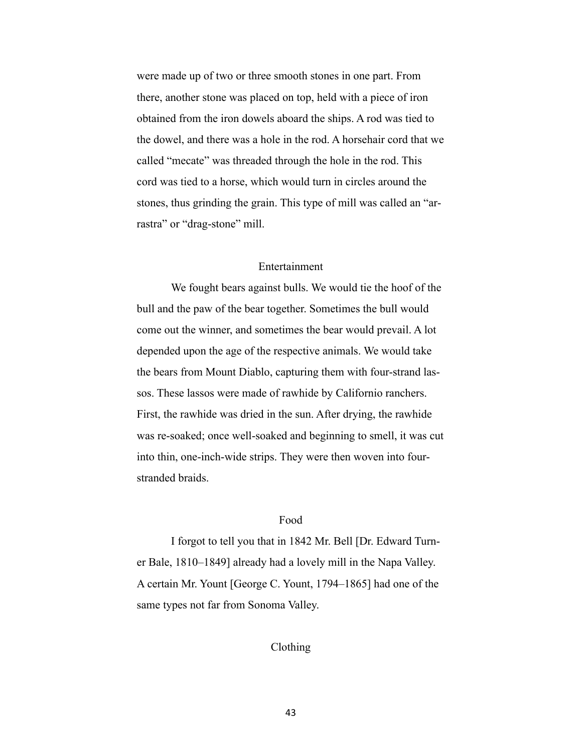were made up of two or three smooth stones in one part. From there, another stone was placed on top, held with a piece of iron obtained from the iron dowels aboard the ships. A rod was tied to the dowel, and there was a hole in the rod. A horsehair cord that we called "mecate" was threaded through the hole in the rod. This cord was tied to a horse, which would turn in circles around the stones, thus grinding the grain. This type of mill was called an "arrastra" or "drag-stone" mill.

# Entertainment

 We fought bears against bulls. We would tie the hoof of the bull and the paw of the bear together. Sometimes the bull would come out the winner, and sometimes the bear would prevail. A lot depended upon the age of the respective animals. We would take the bears from Mount Diablo, capturing them with four-strand lassos. These lassos were made of rawhide by Californio ranchers. First, the rawhide was dried in the sun. After drying, the rawhide was re-soaked; once well-soaked and beginning to smell, it was cut into thin, one-inch-wide strips. They were then woven into fourstranded braids.

# Food

 I forgot to tell you that in 1842 Mr. Bell [Dr. Edward Turner Bale, 1810–1849] already had a lovely mill in the Napa Valley. A certain Mr. Yount [George C. Yount, 1794–1865] had one of the same types not far from Sonoma Valley.

# Clothing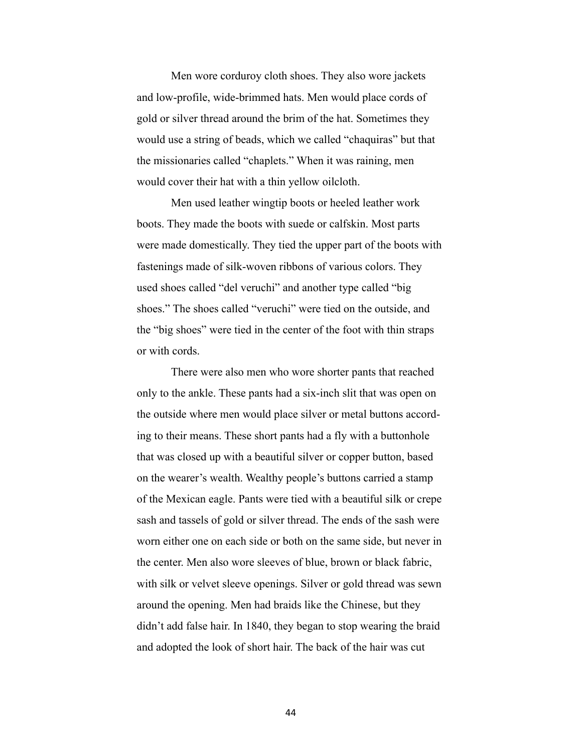Men wore corduroy cloth shoes. They also wore jackets and low-profile, wide-brimmed hats. Men would place cords of gold or silver thread around the brim of the hat. Sometimes they would use a string of beads, which we called "chaquiras" but that the missionaries called "chaplets." When it was raining, men would cover their hat with a thin yellow oilcloth.

 Men used leather wingtip boots or heeled leather work boots. They made the boots with suede or calfskin. Most parts were made domestically. They tied the upper part of the boots with fastenings made of silk-woven ribbons of various colors. They used shoes called "del veruchi" and another type called "big shoes." The shoes called "veruchi" were tied on the outside, and the "big shoes" were tied in the center of the foot with thin straps or with cords.

 There were also men who wore shorter pants that reached only to the ankle. These pants had a six-inch slit that was open on the outside where men would place silver or metal buttons according to their means. These short pants had a fly with a buttonhole that was closed up with a beautiful silver or copper button, based on the wearer's wealth. Wealthy people's buttons carried a stamp of the Mexican eagle. Pants were tied with a beautiful silk or crepe sash and tassels of gold or silver thread. The ends of the sash were worn either one on each side or both on the same side, but never in the center. Men also wore sleeves of blue, brown or black fabric, with silk or velvet sleeve openings. Silver or gold thread was sewn around the opening. Men had braids like the Chinese, but they didn't add false hair. In 1840, they began to stop wearing the braid and adopted the look of short hair. The back of the hair was cut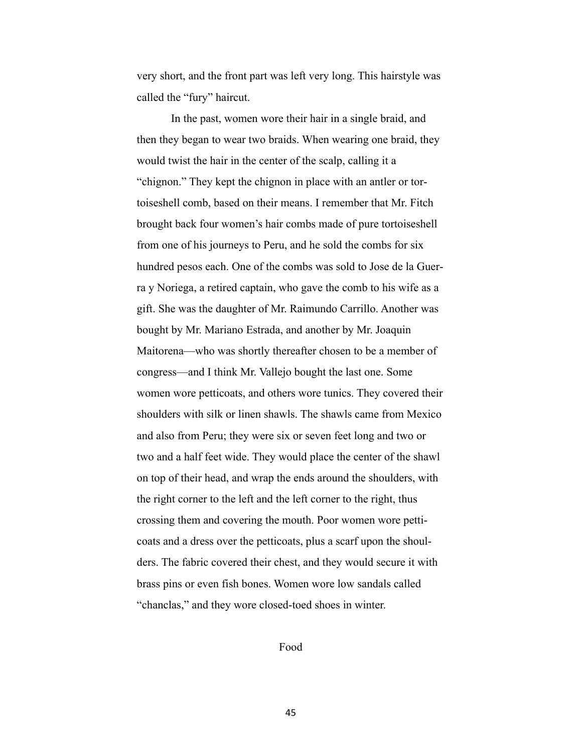very short, and the front part was left very long. This hairstyle was called the "fury" haircut.

 In the past, women wore their hair in a single braid, and then they began to wear two braids. When wearing one braid, they would twist the hair in the center of the scalp, calling it a "chignon." They kept the chignon in place with an antler or tortoiseshell comb, based on their means. I remember that Mr. Fitch brought back four women's hair combs made of pure tortoiseshell from one of his journeys to Peru, and he sold the combs for six hundred pesos each. One of the combs was sold to Jose de la Guerra y Noriega, a retired captain, who gave the comb to his wife as a gift. She was the daughter of Mr. Raimundo Carrillo. Another was bought by Mr. Mariano Estrada, and another by Mr. Joaquin Maitorena—who was shortly thereafter chosen to be a member of congress—and I think Mr. Vallejo bought the last one. Some women wore petticoats, and others wore tunics. They covered their shoulders with silk or linen shawls. The shawls came from Mexico and also from Peru; they were six or seven feet long and two or two and a half feet wide. They would place the center of the shawl on top of their head, and wrap the ends around the shoulders, with the right corner to the left and the left corner to the right, thus crossing them and covering the mouth. Poor women wore petticoats and a dress over the petticoats, plus a scarf upon the shoulders. The fabric covered their chest, and they would secure it with brass pins or even fish bones. Women wore low sandals called "chanclas," and they wore closed-toed shoes in winter.

Food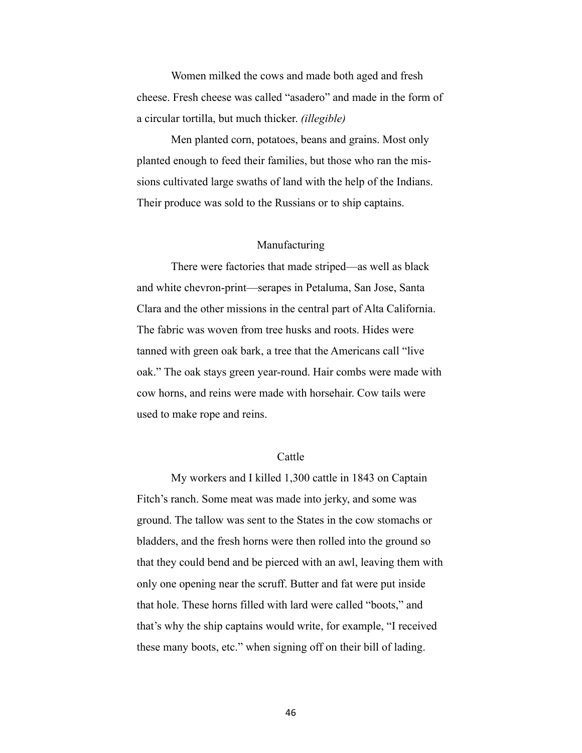Women milked the cows and made both aged and fresh cheese. Fresh cheese was called "asadero" and made in the form of a circular tortilla, but much thicker. *(illegible)*

 Men planted corn, potatoes, beans and grains. Most only planted enough to feed their families, but those who ran the missions cultivated large swaths of land with the help of the Indians. Their produce was sold to the Russians or to ship captains.

### Manufacturing

 There were factories that made striped—as well as black and white chevron-print—serapes in Petaluma, San Jose, Santa Clara and the other missions in the central part of Alta California. The fabric was woven from tree husks and roots. Hides were tanned with green oak bark, a tree that the Americans call "live oak." The oak stays green year-round. Hair combs were made with cow horns, and reins were made with horsehair. Cow tails were used to make rope and reins.

### Cattle

 My workers and I killed 1,300 cattle in 1843 on Captain Fitch's ranch. Some meat was made into jerky, and some was ground. The tallow was sent to the States in the cow stomachs or bladders, and the fresh horns were then rolled into the ground so that they could bend and be pierced with an awl, leaving them with only one opening near the scruff. Butter and fat were put inside that hole. These horns filled with lard were called "boots," and that's why the ship captains would write, for example, "I received these many boots, etc." when signing off on their bill of lading.